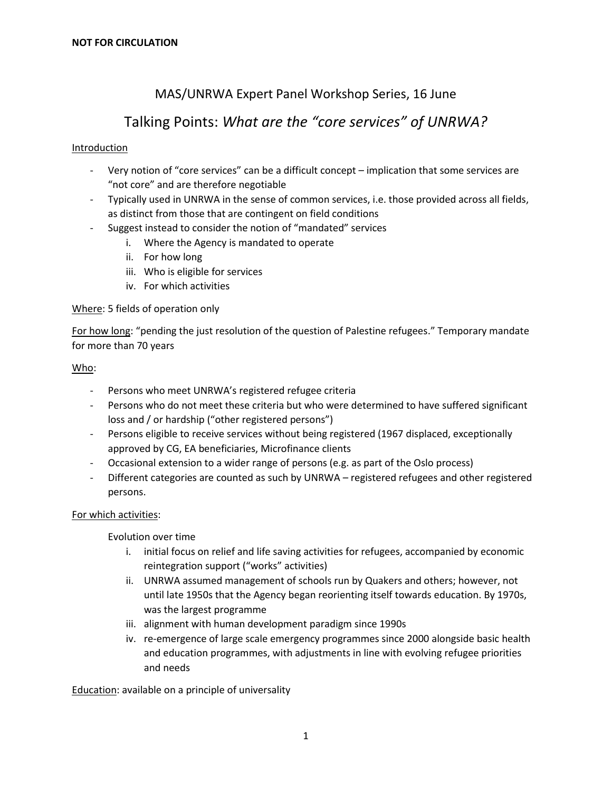## MAS/UNRWA Expert Panel Workshop Series, 16 June

# Talking Points: *What are the "core services" of UNRWA?*

## Introduction

- Very notion of "core services" can be a difficult concept implication that some services are "not core" and are therefore negotiable
- Typically used in UNRWA in the sense of common services, i.e. those provided across all fields, as distinct from those that are contingent on field conditions
- Suggest instead to consider the notion of "mandated" services
	- i. Where the Agency is mandated to operate
	- ii. For how long
	- iii. Who is eligible for services
	- iv. For which activities

## Where: 5 fields of operation only

For how long: "pending the just resolution of the question of Palestine refugees." Temporary mandate for more than 70 years

## Who:

- Persons who meet UNRWA's registered refugee criteria
- Persons who do not meet these criteria but who were determined to have suffered significant loss and / or hardship ("other registered persons")
- Persons eligible to receive services without being registered (1967 displaced, exceptionally approved by CG, EA beneficiaries, Microfinance clients
- Occasional extension to a wider range of persons (e.g. as part of the Oslo process)
- Different categories are counted as such by UNRWA registered refugees and other registered persons.

## For which activities:

Evolution over time

- i. initial focus on relief and life saving activities for refugees, accompanied by economic reintegration support ("works" activities)
- ii. UNRWA assumed management of schools run by Quakers and others; however, not until late 1950s that the Agency began reorienting itself towards education. By 1970s, was the largest programme
- iii. alignment with human development paradigm since 1990s
- iv. re-emergence of large scale emergency programmes since 2000 alongside basic health and education programmes, with adjustments in line with evolving refugee priorities and needs

Education: available on a principle of universality